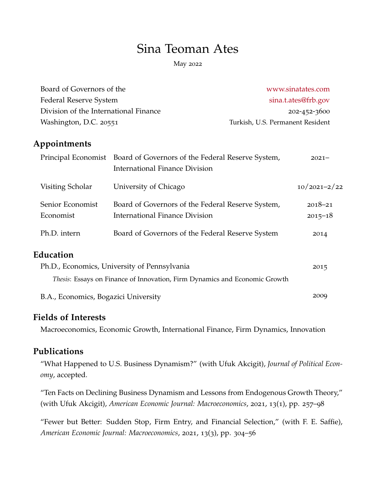# Sina Teoman Ates

May 2022

| Board of Governors of the                    |                                                                                                                | www.sinatates.com<br>sina.t.ates@frb.gov<br>202-452-3600 |  |
|----------------------------------------------|----------------------------------------------------------------------------------------------------------------|----------------------------------------------------------|--|
| <b>Federal Reserve System</b>                |                                                                                                                |                                                          |  |
| Division of the International Finance        |                                                                                                                |                                                          |  |
| Washington, D.C. 20551                       |                                                                                                                | Turkish, U.S. Permanent Resident                         |  |
| Appointments                                 |                                                                                                                |                                                          |  |
|                                              | Principal Economist Board of Governors of the Federal Reserve System,<br><b>International Finance Division</b> | $2021 -$                                                 |  |
| Visiting Scholar                             | University of Chicago                                                                                          | $10/2021 - 2/22$                                         |  |
| Senior Economist                             | Board of Governors of the Federal Reserve System,                                                              | $2018 - 21$                                              |  |
| Economist                                    | <b>International Finance Division</b>                                                                          | $2015 - 18$                                              |  |
| Ph.D. intern                                 | Board of Governors of the Federal Reserve System                                                               | 2014                                                     |  |
| Education                                    |                                                                                                                |                                                          |  |
| Ph.D., Economics, University of Pennsylvania |                                                                                                                | 2015                                                     |  |
|                                              | Thesis: Essays on Finance of Innovation, Firm Dynamics and Economic Growth                                     |                                                          |  |
| B.A., Economics, Bogazici University         |                                                                                                                | 2009                                                     |  |

# **Fields of Interests**

Macroeconomics, Economic Growth, International Finance, Firm Dynamics, Innovation

# **Publications**

"What Happened to U.S. Business Dynamism?" (with Ufuk Akcigit), *Journal of Political Economy*, accepted.

"Ten Facts on Declining Business Dynamism and Lessons from Endogenous Growth Theory," (with Ufuk Akcigit), *American Economic Journal: Macroeconomics*, 2021, 13(1), pp. 257–98

"Fewer but Better: Sudden Stop, Firm Entry, and Financial Selection," (with F. E. Saffie), *American Economic Journal: Macroeconomics*, 2021, 13(3), pp. 304–56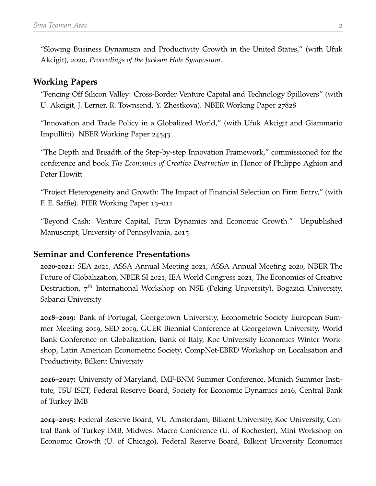"Slowing Business Dynamism and Productivity Growth in the United States," (with Ufuk Akcigit), 2020, *Proceedings of the Jackson Hole Symposium*.

### **Working Papers**

"Fencing Off Silicon Valley: Cross-Border Venture Capital and Technology Spillovers" (with U. Akcigit, J. Lerner, R. Townsend, Y. Zhestkova). NBER Working Paper 27828

"Innovation and Trade Policy in a Globalized World," (with Ufuk Akcigit and Giammario Impullitti). NBER Working Paper 24543

"The Depth and Breadth of the Step-by-step Innovation Framework," commissioned for the conference and book *The Economics of Creative Destruction* in Honor of Philippe Aghion and Peter Howitt

"Project Heterogeneity and Growth: The Impact of Financial Selection on Firm Entry," (with F. E. Saffie). PIER Working Paper 13–011

"Beyond Cash: Venture Capital, Firm Dynamics and Economic Growth." Unpublished Manuscript, University of Pennsylvania, 2015

#### **Seminar and Conference Presentations**

**2020-2021:** SEA 2021, ASSA Annual Meeting 2021, ASSA Annual Meeting 2020, NBER The Future of Globalization, NBER SI 2021, IEA World Congress 2021, The Economics of Creative Destruction, 7<sup>th</sup> International Workshop on NSE (Peking University), Bogazici University, Sabanci University

**2018–2019:** Bank of Portugal, Georgetown University, Econometric Society European Summer Meeting 2019, SED 2019, GCER Biennial Conference at Georgetown University, World Bank Conference on Globalization, Bank of Italy, Koc University Economics Winter Workshop, Latin American Econometric Society, CompNet-EBRD Workshop on Localisation and Productivity, Bilkent University

**2016–2017:** University of Maryland, IMF-BNM Summer Conference, Munich Summer Institute, TSU ISET, Federal Reserve Board, Society for Economic Dynamics 2016, Central Bank of Turkey IMB

**2014–2015:** Federal Reserve Board, VU Amsterdam, Bilkent University, Koc University, Central Bank of Turkey IMB, Midwest Macro Conference (U. of Rochester), Mini Workshop on Economic Growth (U. of Chicago), Federal Reserve Board, Bilkent University Economics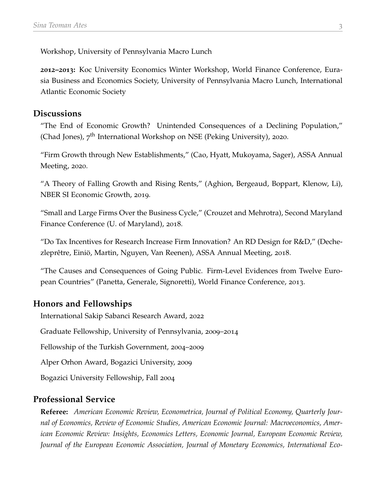Workshop, University of Pennsylvania Macro Lunch

**2012–2013:** Koc University Economics Winter Workshop, World Finance Conference, Eurasia Business and Economics Society, University of Pennsylvania Macro Lunch, International Atlantic Economic Society

#### **Discussions**

"The End of Economic Growth? Unintended Consequences of a Declining Population," (Chad Jones), 7<sup>th</sup> International Workshop on NSE (Peking University), 2020.

"Firm Growth through New Establishments," (Cao, Hyatt, Mukoyama, Sager), ASSA Annual Meeting, 2020.

"A Theory of Falling Growth and Rising Rents," (Aghion, Bergeaud, Boppart, Klenow, Li), NBER SI Economic Growth, 2019.

"Small and Large Firms Over the Business Cycle," (Crouzet and Mehrotra), Second Maryland Finance Conference (U. of Maryland), 2018.

"Do Tax Incentives for Research Increase Firm Innovation? An RD Design for R&D," (Dechezleprêtre, Einiö, Martin, Nguyen, Van Reenen), ASSA Annual Meeting, 2018.

"The Causes and Consequences of Going Public. Firm-Level Evidences from Twelve European Countries" (Panetta, Generale, Signoretti), World Finance Conference, 2013.

## **Honors and Fellowships**

International Sakip Sabanci Research Award, 2022

Graduate Fellowship, University of Pennsylvania, 2009–2014

Fellowship of the Turkish Government, 2004–2009

Alper Orhon Award, Bogazici University, 2009

Bogazici University Fellowship, Fall 2004

## **Professional Service**

**Referee:** *American Economic Review, Econometrica, Journal of Political Economy, Quarterly Journal of Economics, Review of Economic Studies, American Economic Journal: Macroeconomics, American Economic Review: Insights, Economics Letters, Economic Journal, European Economic Review, Journal of the European Economic Association, Journal of Monetary Economics, International Eco-*